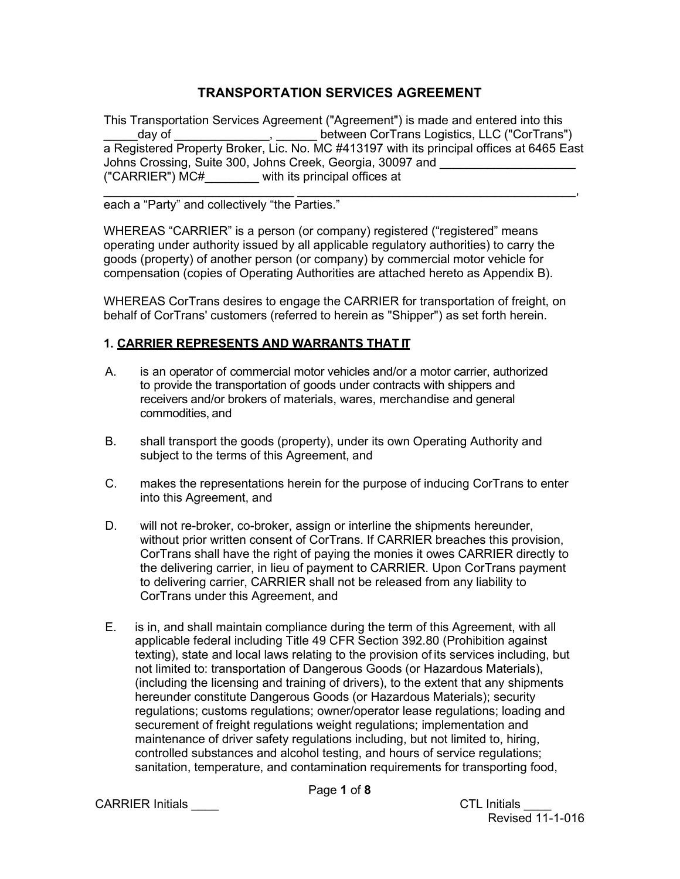### **TRANSPORTATION SERVICES AGREEMENT**

This Transportation Services Agreement ("Agreement") is made and entered into this day of The Cortes of Logistics, LLC ("CorTrans") a Registered Property Broker, Lic. No. MC #413197 with its principal offices at 6465 East Johns Crossing, Suite 300, Johns Creek, Georgia, 30097 and ("CARRIER") MC#\_\_\_\_\_\_\_\_ with its principal offices at

 $\overline{\phantom{a}}$  , and the contract of the contract of the contract of the contract of the contract of the contract of the contract of the contract of the contract of the contract of the contract of the contract of the contrac each a "Party" and collectively "the Parties."

WHEREAS "CARRIER" is a person (or company) registered ("registered" means operating under authority issued by all applicable regulatory authorities) to carry the goods (property) of another person (or company) by commercial motor vehicle for compensation (copies of Operating Authorities are attached hereto as Appendix B).

WHEREAS CorTrans desires to engage the CARRIER for transportation of freight, on behalf of CorTrans' customers (referred to herein as "Shipper") as set forth herein.

#### **1. CARRIER REPRESENTS AND WARRANTS THAT IT**

- A. is an operator of commercial motor vehicles and/or a motor carrier, authorized to provide the transportation of goods under contracts with shippers and receivers and/or brokers of materials, wares, merchandise and general commodities, and
- B. shall transport the goods (property), under its own Operating Authority and subject to the terms of this Agreement, and
- C. makes the representations herein for the purpose of inducing CorTrans to enter into this Agreement, and
- D. will not re-broker, co-broker, assign or interline the shipments hereunder, without prior written consent of CorTrans. If CARRIER breaches this provision, CorTrans shall have the right of paying the monies it owes CARRIER directly to the delivering carrier, in lieu of payment to CARRIER. Upon CorTrans payment to delivering carrier, CARRIER shall not be released from any liability to CorTrans under this Agreement, and
- E. is in, and shall maintain compliance during the term of this Agreement, with all applicable federal including Title 49 CFR Section 392.80 (Prohibition against texting), state and local laws relating to the provision of its services including, but not limited to: transportation of Dangerous Goods (or Hazardous Materials), (including the licensing and training of drivers), to the extent that any shipments hereunder constitute Dangerous Goods (or Hazardous Materials); security regulations; customs regulations; owner/operator lease regulations; loading and securement of freight regulations weight regulations; implementation and maintenance of driver safety regulations including, but not limited to, hiring, controlled substances and alcohol testing, and hours of service regulations; sanitation, temperature, and contamination requirements for transporting food,

CARRIER Initials **CARRIER** Initials **CARRIER** Initials **CARRIER** 

Page **1** of **8**

Revised 11-1-016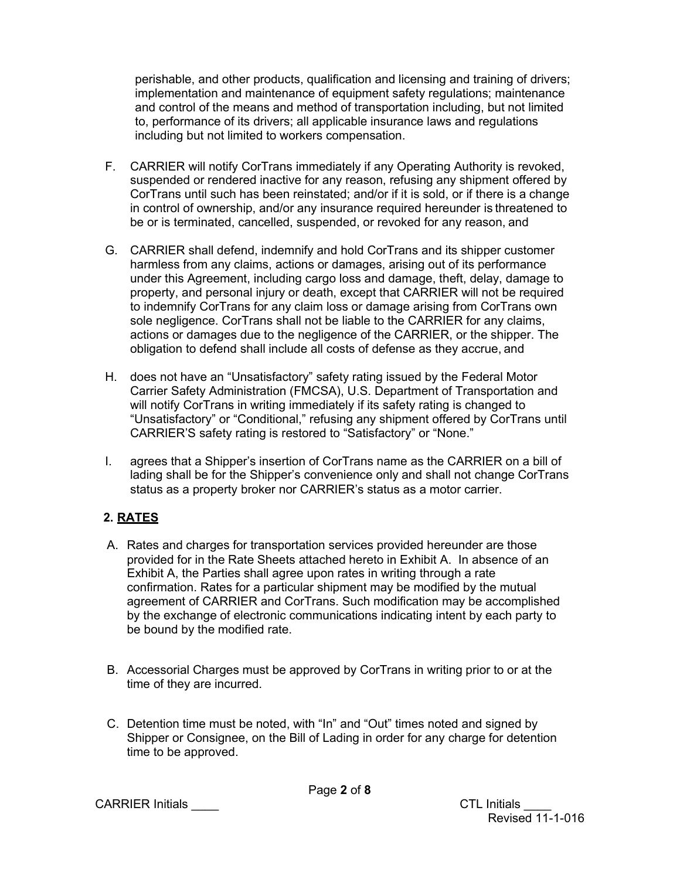perishable, and other products, qualification and licensing and training of drivers; implementation and maintenance of equipment safety regulations; maintenance and control of the means and method of transportation including, but not limited to, performance of its drivers; all applicable insurance laws and regulations including but not limited to workers compensation.

- F. CARRIER will notify CorTrans immediately if any Operating Authority is revoked, suspended or rendered inactive for any reason, refusing any shipment offered by CorTrans until such has been reinstated; and/or if it is sold, or if there is a change in control of ownership, and/or any insurance required hereunder is threatened to be or is terminated, cancelled, suspended, or revoked for any reason, and
- G. CARRIER shall defend, indemnify and hold CorTrans and its shipper customer harmless from any claims, actions or damages, arising out of its performance under this Agreement, including cargo loss and damage, theft, delay, damage to property, and personal injury or death, except that CARRIER will not be required to indemnify CorTrans for any claim loss or damage arising from CorTrans own sole negligence. CorTrans shall not be liable to the CARRIER for any claims, actions or damages due to the negligence of the CARRIER, or the shipper. The obligation to defend shall include all costs of defense as they accrue, and
- H. does not have an "Unsatisfactory" safety rating issued by the Federal Motor Carrier Safety Administration (FMCSA), U.S. Department of Transportation and will notify CorTrans in writing immediately if its safety rating is changed to "Unsatisfactory" or "Conditional," refusing any shipment offered by CorTrans until CARRIER'S safety rating is restored to "Satisfactory" or "None."
- I. agrees that a Shipper's insertion of CorTrans name as the CARRIER on a bill of lading shall be for the Shipper's convenience only and shall not change CorTrans status as a property broker nor CARRIER's status as a motor carrier.

# **2. RATES**

- A. Rates and charges for transportation services provided hereunder are those provided for in the Rate Sheets attached hereto in Exhibit A. In absence of an Exhibit A, the Parties shall agree upon rates in writing through a rate confirmation. Rates for a particular shipment may be modified by the mutual agreement of CARRIER and CorTrans. Such modification may be accomplished by the exchange of electronic communications indicating intent by each party to be bound by the modified rate.
- B. Accessorial Charges must be approved by CorTrans in writing prior to or at the time of they are incurred.
- C. Detention time must be noted, with "In" and "Out" times noted and signed by Shipper or Consignee, on the Bill of Lading in order for any charge for detention time to be approved.

CARRIER Initials \_\_\_\_ CTL Initials \_\_\_\_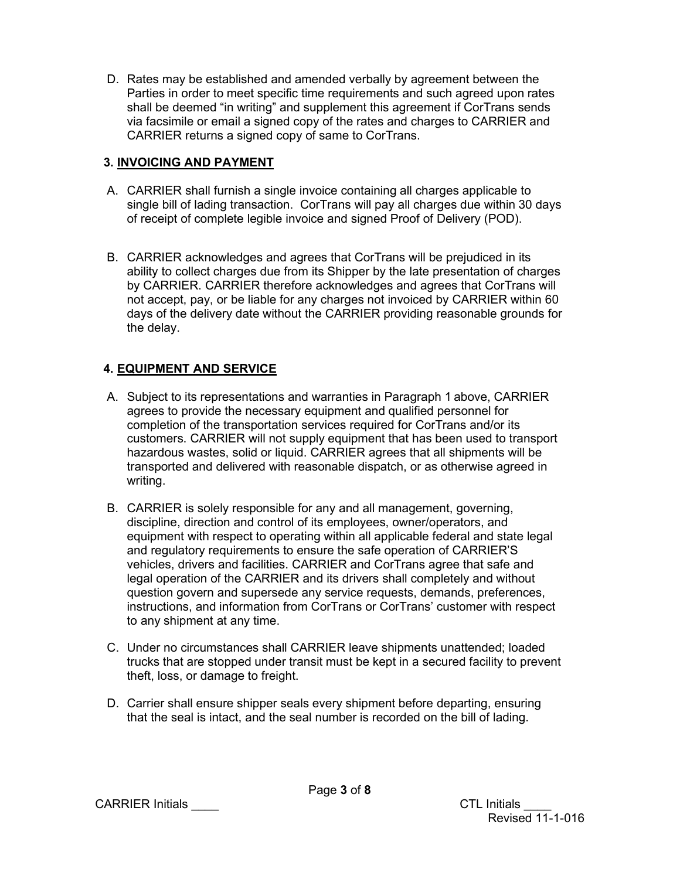D. Rates may be established and amended verbally by agreement between the Parties in order to meet specific time requirements and such agreed upon rates shall be deemed "in writing" and supplement this agreement if CorTrans sends via facsimile or email a signed copy of the rates and charges to CARRIER and CARRIER returns a signed copy of same to CorTrans.

### **3. INVOICING AND PAYMENT**

- A. CARRIER shall furnish a single invoice containing all charges applicable to single bill of lading transaction. CorTrans will pay all charges due within 30 days of receipt of complete legible invoice and signed Proof of Delivery (POD).
- B. CARRIER acknowledges and agrees that CorTrans will be prejudiced in its ability to collect charges due from its Shipper by the late presentation of charges by CARRIER. CARRIER therefore acknowledges and agrees that CorTrans will not accept, pay, or be liable for any charges not invoiced by CARRIER within 60 days of the delivery date without the CARRIER providing reasonable grounds for the delay.

# **4. EQUIPMENT AND SERVICE**

- A. Subject to its representations and warranties in Paragraph 1 above, CARRIER agrees to provide the necessary equipment and qualified personnel for completion of the transportation services required for CorTrans and/or its customers. CARRIER will not supply equipment that has been used to transport hazardous wastes, solid or liquid. CARRIER agrees that all shipments will be transported and delivered with reasonable dispatch, or as otherwise agreed in writing.
- B. CARRIER is solely responsible for any and all management, governing, discipline, direction and control of its employees, owner/operators, and equipment with respect to operating within all applicable federal and state legal and regulatory requirements to ensure the safe operation of CARRIER'S vehicles, drivers and facilities. CARRIER and CorTrans agree that safe and legal operation of the CARRIER and its drivers shall completely and without question govern and supersede any service requests, demands, preferences, instructions, and information from CorTrans or CorTrans' customer with respect to any shipment at any time.
- C. Under no circumstances shall CARRIER leave shipments unattended; loaded trucks that are stopped under transit must be kept in a secured facility to prevent theft, loss, or damage to freight.
- D. Carrier shall ensure shipper seals every shipment before departing, ensuring that the seal is intact, and the seal number is recorded on the bill of lading.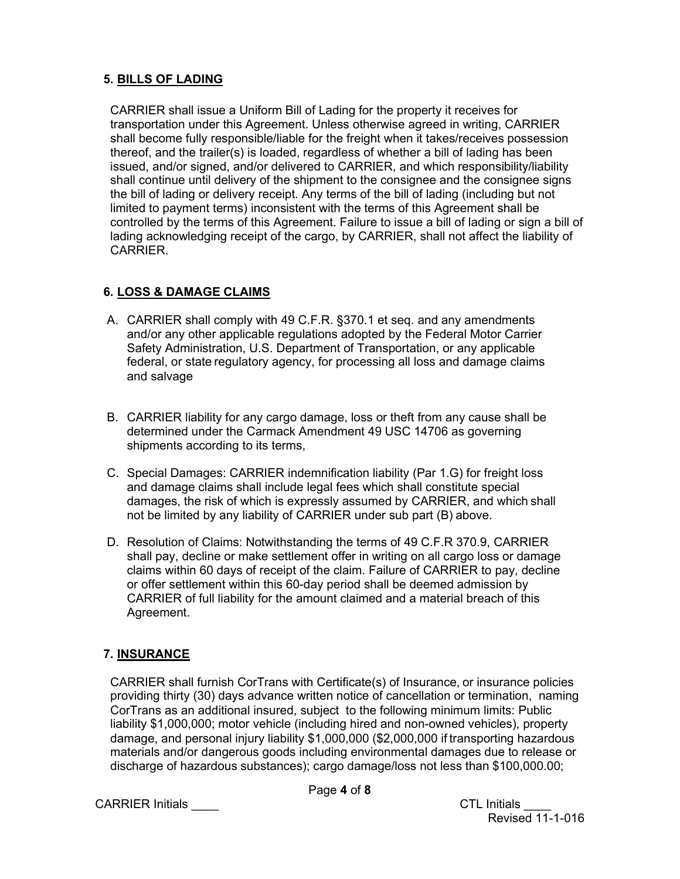# **5. BILLS OF LADING**

CARRIER shall issue a Uniform Bill of Lading for the property it receives for transportation under this Agreement. Unless otherwise agreed in writing, CARRIER shall become fully responsible/liable for the freight when it takes/receives possession thereof, and the trailer(s) is loaded, regardless of whether a bill of lading has been issued, and/or signed, and/or delivered to CARRIER, and which responsibility/liability shall continue until delivery of the shipment to the consignee and the consignee signs the bill of lading or delivery receipt. Any terms of the bill of lading (including but not limited to payment terms) inconsistent with the terms of this Agreement shall be controlled by the terms of this Agreement. Failure to issue a bill of lading or sign a bill of lading acknowledging receipt of the cargo, by CARRIER, shall not affect the liability of CARRIER.

### **6. LOSS & DAMAGE CLAIMS**

- A. CARRIER shall comply with 49 C.F.R. §370.1 et seq. and any amendments and/or any other applicable regulations adopted by the Federal Motor Carrier Safety Administration, U.S. Department of Transportation, or any applicable federal, or state regulatory agency, for processing all loss and damage claims and salvage
- B. CARRIER liability for any cargo damage, loss or theft from any cause shall be determined under the Carmack Amendment 49 USC 14706 as governing shipments according to its terms,
- C. Special Damages: CARRIER indemnification liability (Par 1.G) for freight loss and damage claims shall include legal fees which shall constitute special damages, the risk of which is expressly assumed by CARRIER, and which shall not be limited by any liability of CARRIER under sub part (B) above.
- D. Resolution of Claims: Notwithstanding the terms of 49 C.F.R 370.9, CARRIER shall pay, decline or make settlement offer in writing on all cargo loss or damage claims within 60 days of receipt of the claim. Failure of CARRIER to pay, decline or offer settlement within this 60-day period shall be deemed admission by CARRIER of full liability for the amount claimed and a material breach of this Agreement.

# **7. INSURANCE**

CARRIER shall furnish CorTrans with Certificate(s) of Insurance, or insurance policies providing thirty (30) days advance written notice of cancellation or termination, naming CorTrans as an additional insured, subject to the following minimum limits: Public liability \$1,000,000; motor vehicle (including hired and non-owned vehicles), property damage, and personal injury liability \$1,000,000 (\$2,000,000 if transporting hazardous materials and/or dangerous goods including environmental damages due to release or discharge of hazardous substances); cargo damage/loss not less than \$100,000.00;

CARRIER Initials \_\_\_\_ CTL Initials \_\_\_\_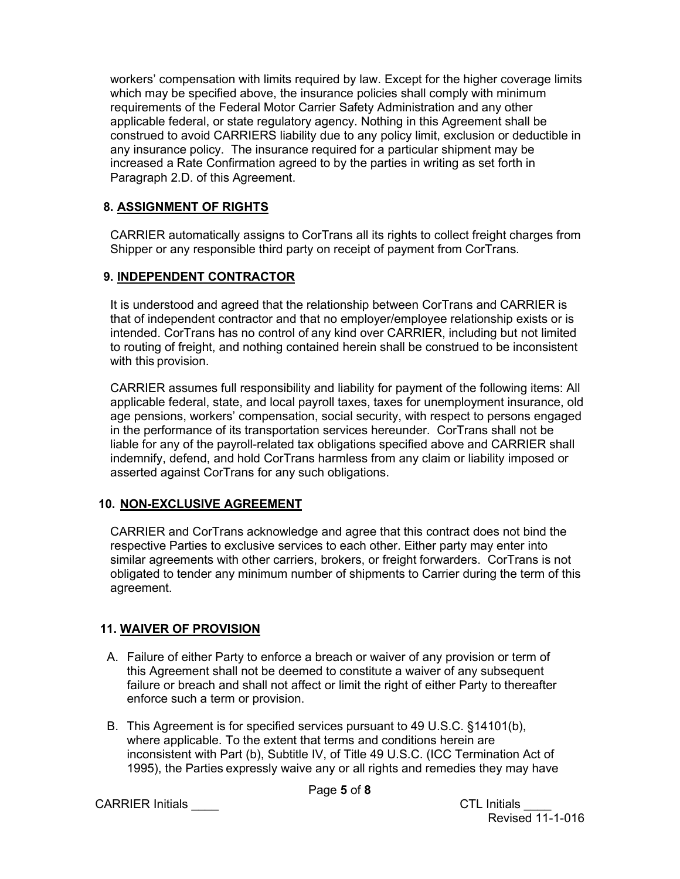workers' compensation with limits required by law. Except for the higher coverage limits which may be specified above, the insurance policies shall comply with minimum requirements of the Federal Motor Carrier Safety Administration and any other applicable federal, or state regulatory agency. Nothing in this Agreement shall be construed to avoid CARRIERS liability due to any policy limit, exclusion or deductible in any insurance policy. The insurance required for a particular shipment may be increased a Rate Confirmation agreed to by the parties in writing as set forth in Paragraph 2.D. of this Agreement.

### **8. ASSIGNMENT OF RIGHTS**

CARRIER automatically assigns to CorTrans all its rights to collect freight charges from Shipper or any responsible third party on receipt of payment from CorTrans.

#### **9. INDEPENDENT CONTRACTOR**

It is understood and agreed that the relationship between CorTrans and CARRIER is that of independent contractor and that no employer/employee relationship exists or is intended. CorTrans has no control of any kind over CARRIER, including but not limited to routing of freight, and nothing contained herein shall be construed to be inconsistent with this provision.

CARRIER assumes full responsibility and liability for payment of the following items: All applicable federal, state, and local payroll taxes, taxes for unemployment insurance, old age pensions, workers' compensation, social security, with respect to persons engaged in the performance of its transportation services hereunder. CorTrans shall not be liable for any of the payroll-related tax obligations specified above and CARRIER shall indemnify, defend, and hold CorTrans harmless from any claim or liability imposed or asserted against CorTrans for any such obligations.

# **10. NON-EXCLUSIVE AGREEMENT**

CARRIER and CorTrans acknowledge and agree that this contract does not bind the respective Parties to exclusive services to each other. Either party may enter into similar agreements with other carriers, brokers, or freight forwarders. CorTrans is not obligated to tender any minimum number of shipments to Carrier during the term of this agreement.

# **11. WAIVER OF PROVISION**

- A. Failure of either Party to enforce a breach or waiver of any provision or term of this Agreement shall not be deemed to constitute a waiver of any subsequent failure or breach and shall not affect or limit the right of either Party to thereafter enforce such a term or provision.
- B. This Agreement is for specified services pursuant to 49 U.S.C. §14101(b), where applicable. To the extent that terms and conditions herein are inconsistent with Part (b), Subtitle IV, of Title 49 U.S.C. (ICC Termination Act of 1995), the Parties expressly waive any or all rights and remedies they may have

Page **5** of **8**

CARRIER Initials \_\_\_\_ CTL Initials \_\_\_\_

Revised 11-1-016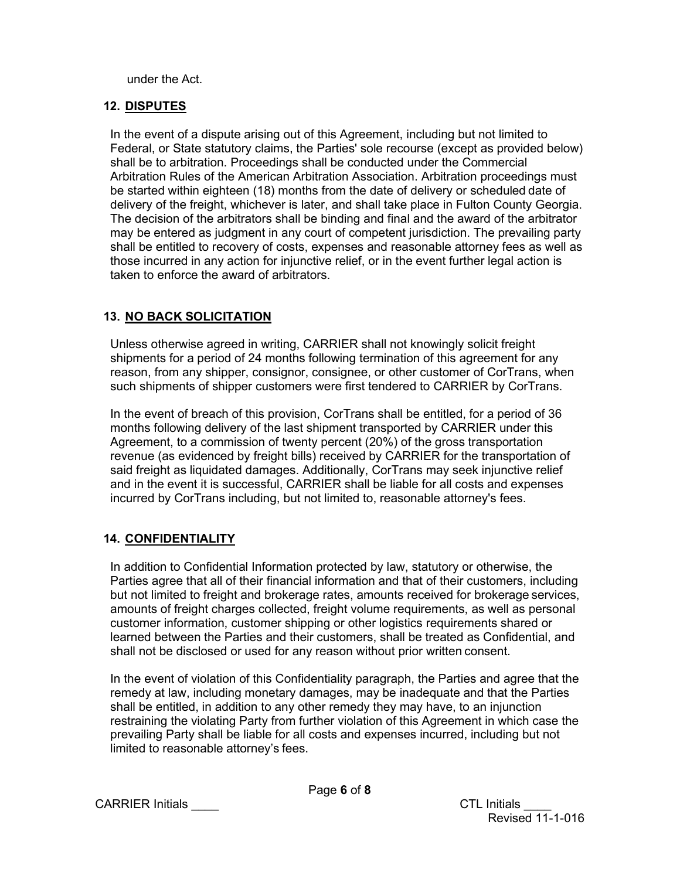under the Act.

#### **12. DISPUTES**

In the event of a dispute arising out of this Agreement, including but not limited to Federal, or State statutory claims, the Parties' sole recourse (except as provided below) shall be to arbitration. Proceedings shall be conducted under the Commercial Arbitration Rules of the American Arbitration Association. Arbitration proceedings must be started within eighteen (18) months from the date of delivery or scheduled date of delivery of the freight, whichever is later, and shall take place in Fulton County Georgia. The decision of the arbitrators shall be binding and final and the award of the arbitrator may be entered as judgment in any court of competent jurisdiction. The prevailing party shall be entitled to recovery of costs, expenses and reasonable attorney fees as well as those incurred in any action for injunctive relief, or in the event further legal action is taken to enforce the award of arbitrators.

# **13. NO BACK SOLICITATION**

Unless otherwise agreed in writing, CARRIER shall not knowingly solicit freight shipments for a period of 24 months following termination of this agreement for any reason, from any shipper, consignor, consignee, or other customer of CorTrans, when such shipments of shipper customers were first tendered to CARRIER by CorTrans.

In the event of breach of this provision, CorTrans shall be entitled, for a period of 36 months following delivery of the last shipment transported by CARRIER under this Agreement, to a commission of twenty percent (20%) of the gross transportation revenue (as evidenced by freight bills) received by CARRIER for the transportation of said freight as liquidated damages. Additionally, CorTrans may seek injunctive relief and in the event it is successful, CARRIER shall be liable for all costs and expenses incurred by CorTrans including, but not limited to, reasonable attorney's fees.

# **14. CONFIDENTIALITY**

In addition to Confidential Information protected by law, statutory or otherwise, the Parties agree that all of their financial information and that of their customers, including but not limited to freight and brokerage rates, amounts received for brokerage services, amounts of freight charges collected, freight volume requirements, as well as personal customer information, customer shipping or other logistics requirements shared or learned between the Parties and their customers, shall be treated as Confidential, and shall not be disclosed or used for any reason without prior written consent.

In the event of violation of this Confidentiality paragraph, the Parties and agree that the remedy at law, including monetary damages, may be inadequate and that the Parties shall be entitled, in addition to any other remedy they may have, to an injunction restraining the violating Party from further violation of this Agreement in which case the prevailing Party shall be liable for all costs and expenses incurred, including but not limited to reasonable attorney's fees.

CARRIER Initials **CARRIER** Initials **CARRIER** Initials **CARRIER**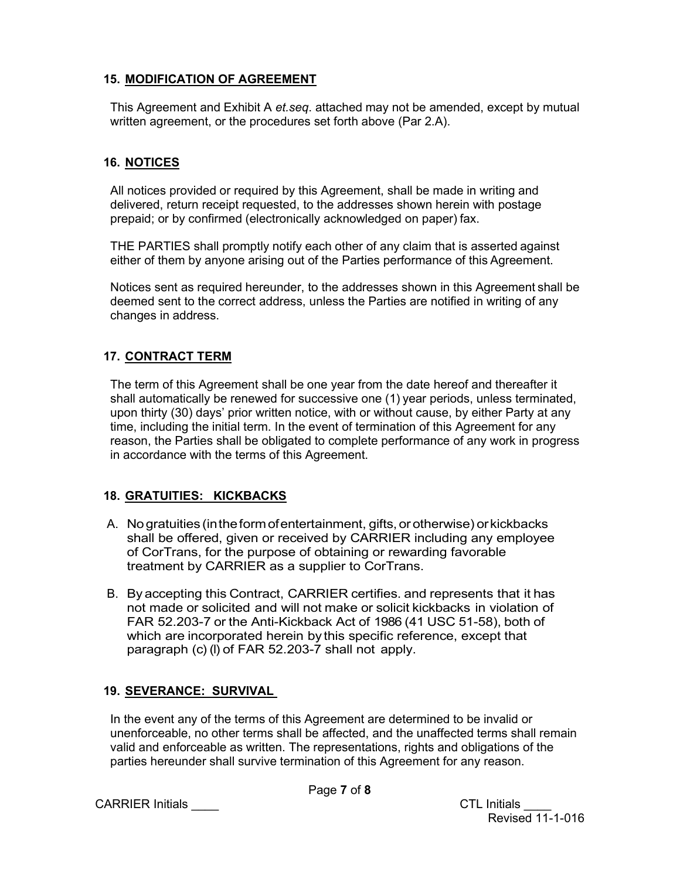### **15. MODIFICATION OF AGREEMENT**

This Agreement and Exhibit A *et.seq*. attached may not be amended, except by mutual written agreement, or the procedures set forth above (Par 2.A).

### **16. NOTICES**

All notices provided or required by this Agreement, shall be made in writing and delivered, return receipt requested, to the addresses shown herein with postage prepaid; or by confirmed (electronically acknowledged on paper) fax.

THE PARTIES shall promptly notify each other of any claim that is asserted against either of them by anyone arising out of the Parties performance of this Agreement.

Notices sent as required hereunder, to the addresses shown in this Agreement shall be deemed sent to the correct address, unless the Parties are notified in writing of any changes in address.

### **17. CONTRACT TERM**

The term of this Agreement shall be one year from the date hereof and thereafter it shall automatically be renewed for successive one (1) year periods, unless terminated, upon thirty (30) days' prior written notice, with or without cause, by either Party at any time, including the initial term. In the event of termination of this Agreement for any reason, the Parties shall be obligated to complete performance of any work in progress in accordance with the terms of this Agreement.

#### **18. GRATUITIES: KICKBACKS**

- A. Nogratuities (intheformofentertainment, gifts, orotherwise) orkickbacks shall be offered, given or received by CARRIER including any employee of CorTrans, for the purpose of obtaining or rewarding favorable treatment by CARRIER as a supplier to CorTrans.
- B. By accepting this Contract, CARRIER certifies. and represents that it has not made or solicited and will not make or solicit kickbacks in violation of FAR 52.203-7 or the Anti-Kickback Act of 1986 (41 USC 51-58), both of which are incorporated herein by this specific reference, except that paragraph (c) (l) of FAR 52.203-7 shall not apply.

#### **19. SEVERANCE: SURVIVAL**

In the event any of the terms of this Agreement are determined to be invalid or unenforceable, no other terms shall be affected, and the unaffected terms shall remain valid and enforceable as written. The representations, rights and obligations of the parties hereunder shall survive termination of this Agreement for any reason.

CARRIER Initials \_\_\_\_ CTL Initials \_\_\_\_

Page **7** of **8**